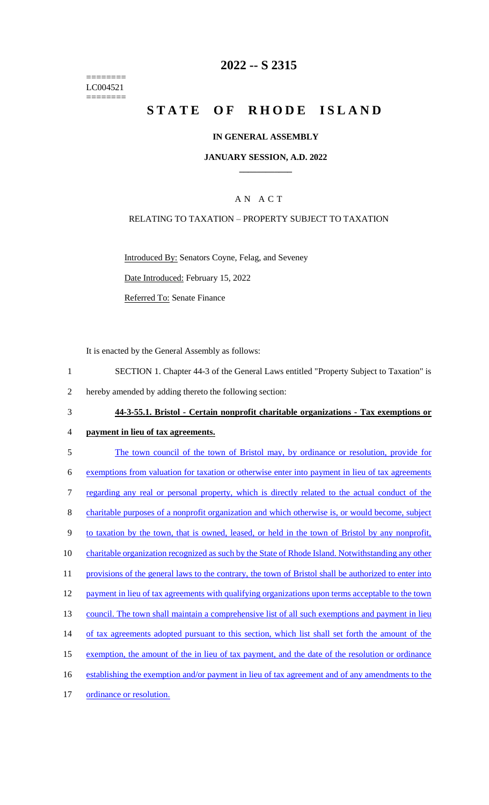======== LC004521 ========

## **2022 -- S 2315**

# **STATE OF RHODE ISLAND**

### **IN GENERAL ASSEMBLY**

### **JANUARY SESSION, A.D. 2022 \_\_\_\_\_\_\_\_\_\_\_\_**

## A N A C T

### RELATING TO TAXATION – PROPERTY SUBJECT TO TAXATION

Introduced By: Senators Coyne, Felag, and Seveney

Date Introduced: February 15, 2022

Referred To: Senate Finance

It is enacted by the General Assembly as follows:

- 1 SECTION 1. Chapter 44-3 of the General Laws entitled "Property Subject to Taxation" is
- 2 hereby amended by adding thereto the following section:
- 3 **44-3-55.1. Bristol - Certain nonprofit charitable organizations - Tax exemptions or**
- 4 **payment in lieu of tax agreements.**
- 5 The town council of the town of Bristol may, by ordinance or resolution, provide for 6 exemptions from valuation for taxation or otherwise enter into payment in lieu of tax agreements 7 regarding any real or personal property, which is directly related to the actual conduct of the 8 charitable purposes of a nonprofit organization and which otherwise is, or would become, subject 9 to taxation by the town, that is owned, leased, or held in the town of Bristol by any nonprofit, 10 charitable organization recognized as such by the State of Rhode Island. Notwithstanding any other 11 provisions of the general laws to the contrary, the town of Bristol shall be authorized to enter into 12 payment in lieu of tax agreements with qualifying organizations upon terms acceptable to the town 13 council. The town shall maintain a comprehensive list of all such exemptions and payment in lieu 14 of tax agreements adopted pursuant to this section, which list shall set forth the amount of the 15 exemption, the amount of the in lieu of tax payment, and the date of the resolution or ordinance 16 establishing the exemption and/or payment in lieu of tax agreement and of any amendments to the 17 ordinance or resolution.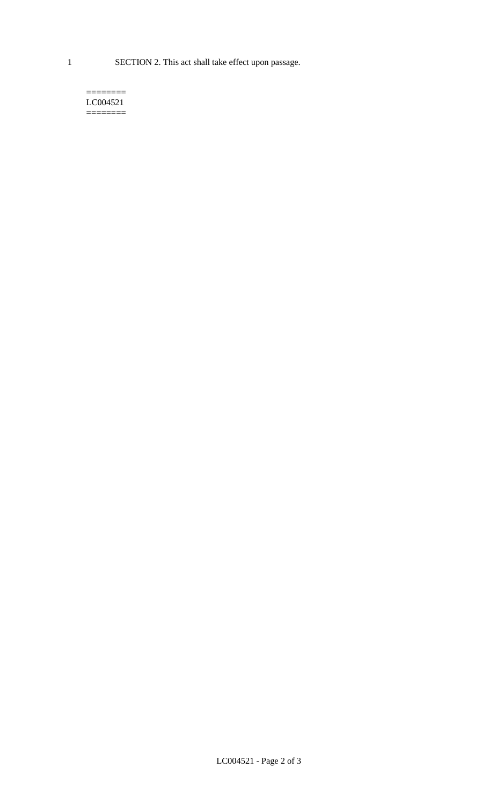1 SECTION 2. This act shall take effect upon passage.

#### $=$ LC004521  $=$

LC004521 - Page 2 of 3